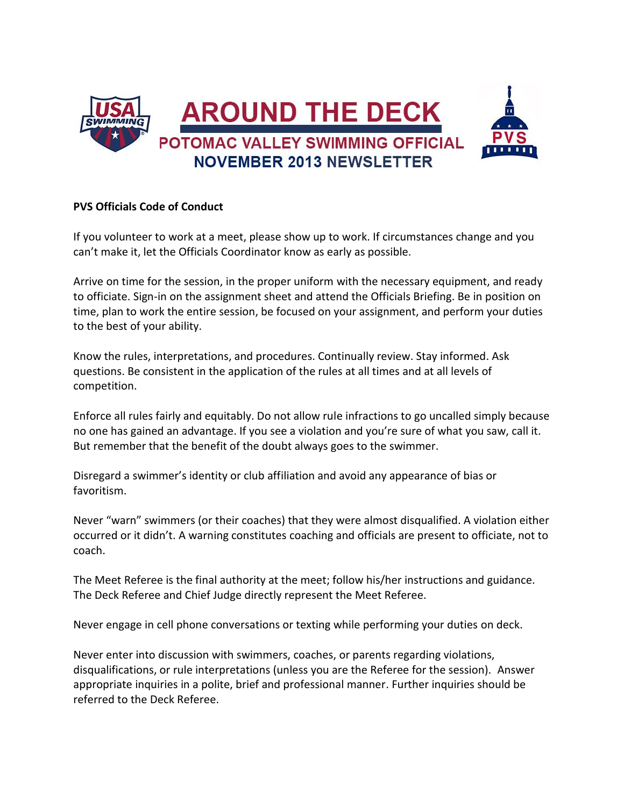

### **PVS Officials Code of Conduct**

If you volunteer to work at a meet, please show up to work. If circumstances change and you can't make it, let the Officials Coordinator know as early as possible.

Arrive on time for the session, in the proper uniform with the necessary equipment, and ready to officiate. Sign-in on the assignment sheet and attend the Officials Briefing. Be in position on time, plan to work the entire session, be focused on your assignment, and perform your duties to the best of your ability.

Know the rules, interpretations, and procedures. Continually review. Stay informed. Ask questions. Be consistent in the application of the rules at all times and at all levels of competition.

Enforce all rules fairly and equitably. Do not allow rule infractions to go uncalled simply because no one has gained an advantage. If you see a violation and you're sure of what you saw, call it. But remember that the benefit of the doubt always goes to the swimmer.

Disregard a swimmer's identity or club affiliation and avoid any appearance of bias or favoritism.

Never "warn" swimmers (or their coaches) that they were almost disqualified. A violation either occurred or it didn't. A warning constitutes coaching and officials are present to officiate, not to coach.

The Meet Referee is the final authority at the meet; follow his/her instructions and guidance. The Deck Referee and Chief Judge directly represent the Meet Referee.

Never engage in cell phone conversations or texting while performing your duties on deck.

Never enter into discussion with swimmers, coaches, or parents regarding violations, disqualifications, or rule interpretations (unless you are the Referee for the session). Answer appropriate inquiries in a polite, brief and professional manner. Further inquiries should be referred to the Deck Referee.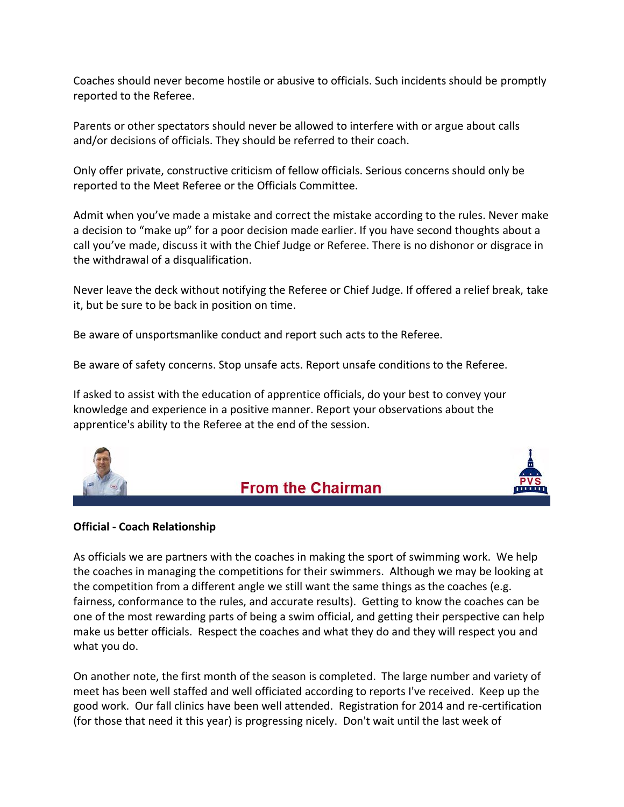Coaches should never become hostile or abusive to officials. Such incidents should be promptly reported to the Referee.

Parents or other spectators should never be allowed to interfere with or argue about calls and/or decisions of officials. They should be referred to their coach.

Only offer private, constructive criticism of fellow officials. Serious concerns should only be reported to the Meet Referee or the Officials Committee.

Admit when you've made a mistake and correct the mistake according to the rules. Never make a decision to "make up" for a poor decision made earlier. If you have second thoughts about a call you've made, discuss it with the Chief Judge or Referee. There is no dishonor or disgrace in the withdrawal of a disqualification.

Never leave the deck without notifying the Referee or Chief Judge. If offered a relief break, take it, but be sure to be back in position on time.

Be aware of unsportsmanlike conduct and report such acts to the Referee.

Be aware of safety concerns. Stop unsafe acts. Report unsafe conditions to the Referee.

If asked to assist with the education of apprentice officials, do your best to convey your knowledge and experience in a positive manner. Report your observations about the apprentice's ability to the Referee at the end of the session.







### **Official - Coach Relationship**

As officials we are partners with the coaches in making the sport of swimming work. We help the coaches in managing the competitions for their swimmers. Although we may be looking at the competition from a different angle we still want the same things as the coaches (e.g. fairness, conformance to the rules, and accurate results). Getting to know the coaches can be one of the most rewarding parts of being a swim official, and getting their perspective can help make us better officials. Respect the coaches and what they do and they will respect you and what you do.

On another note, the first month of the season is completed. The large number and variety of meet has been well staffed and well officiated according to reports I've received. Keep up the good work. Our fall clinics have been well attended. Registration for 2014 and re-certification (for those that need it this year) is progressing nicely. Don't wait until the last week of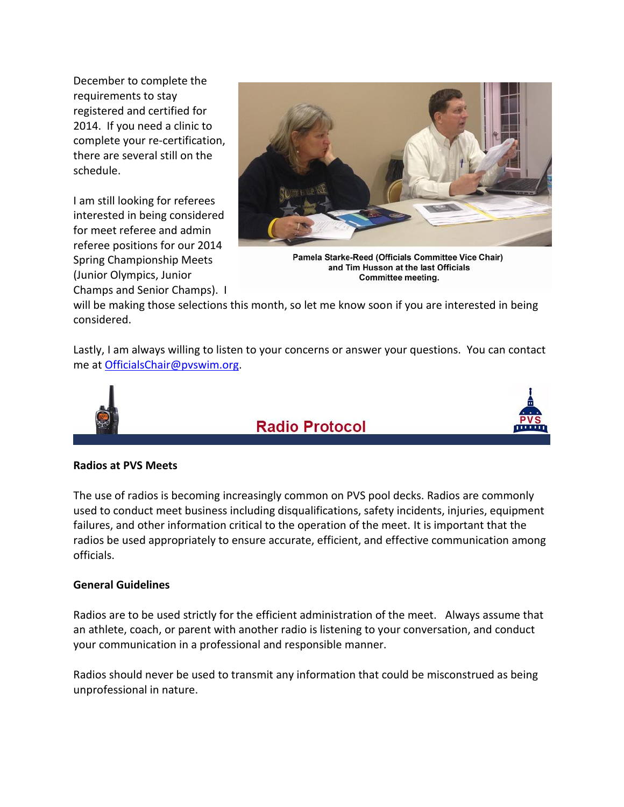December to complete the requirements to stay registered and certified for 2014. If you need a clinic to complete your re-certification, there are several still on the schedule.

I am still looking for referees interested in being considered for meet referee and admin referee positions for our 2014 Spring Championship Meets (Junior Olympics, Junior Champs and Senior Champs). I



Pamela Starke-Reed (Officials Committee Vice Chair) and Tim Husson at the last Officials Committee meeting.

will be making those selections this month, so let me know soon if you are interested in being considered.

Lastly, I am always willing to listen to your concerns or answer your questions. You can contact me a[t OfficialsChair@pvswim.org.](mailto:OfficialsChair@pvswim.org)



## **Radio Protocol**



### **Radios at PVS Meets**

The use of radios is becoming increasingly common on PVS pool decks. Radios are commonly used to conduct meet business including disqualifications, safety incidents, injuries, equipment failures, and other information critical to the operation of the meet. It is important that the radios be used appropriately to ensure accurate, efficient, and effective communication among officials.

### **General Guidelines**

Radios are to be used strictly for the efficient administration of the meet. Always assume that an athlete, coach, or parent with another radio is listening to your conversation, and conduct your communication in a professional and responsible manner.

Radios should never be used to transmit any information that could be misconstrued as being unprofessional in nature.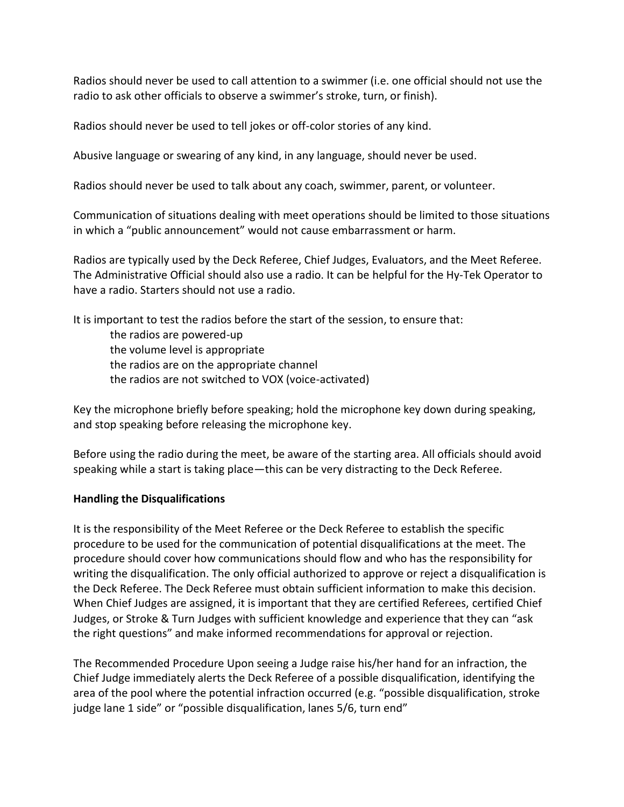Radios should never be used to call attention to a swimmer (i.e. one official should not use the radio to ask other officials to observe a swimmer's stroke, turn, or finish).

Radios should never be used to tell jokes or off-color stories of any kind.

Abusive language or swearing of any kind, in any language, should never be used.

Radios should never be used to talk about any coach, swimmer, parent, or volunteer.

Communication of situations dealing with meet operations should be limited to those situations in which a "public announcement" would not cause embarrassment or harm.

Radios are typically used by the Deck Referee, Chief Judges, Evaluators, and the Meet Referee. The Administrative Official should also use a radio. It can be helpful for the Hy-Tek Operator to have a radio. Starters should not use a radio.

It is important to test the radios before the start of the session, to ensure that:

the radios are powered-up the volume level is appropriate the radios are on the appropriate channel the radios are not switched to VOX (voice-activated)

Key the microphone briefly before speaking; hold the microphone key down during speaking, and stop speaking before releasing the microphone key.

Before using the radio during the meet, be aware of the starting area. All officials should avoid speaking while a start is taking place—this can be very distracting to the Deck Referee.

### **Handling the Disqualifications**

It is the responsibility of the Meet Referee or the Deck Referee to establish the specific procedure to be used for the communication of potential disqualifications at the meet. The procedure should cover how communications should flow and who has the responsibility for writing the disqualification. The only official authorized to approve or reject a disqualification is the Deck Referee. The Deck Referee must obtain sufficient information to make this decision. When Chief Judges are assigned, it is important that they are certified Referees, certified Chief Judges, or Stroke & Turn Judges with sufficient knowledge and experience that they can "ask the right questions" and make informed recommendations for approval or rejection.

The Recommended Procedure Upon seeing a Judge raise his/her hand for an infraction, the Chief Judge immediately alerts the Deck Referee of a possible disqualification, identifying the area of the pool where the potential infraction occurred (e.g. "possible disqualification, stroke judge lane 1 side" or "possible disqualification, lanes 5/6, turn end"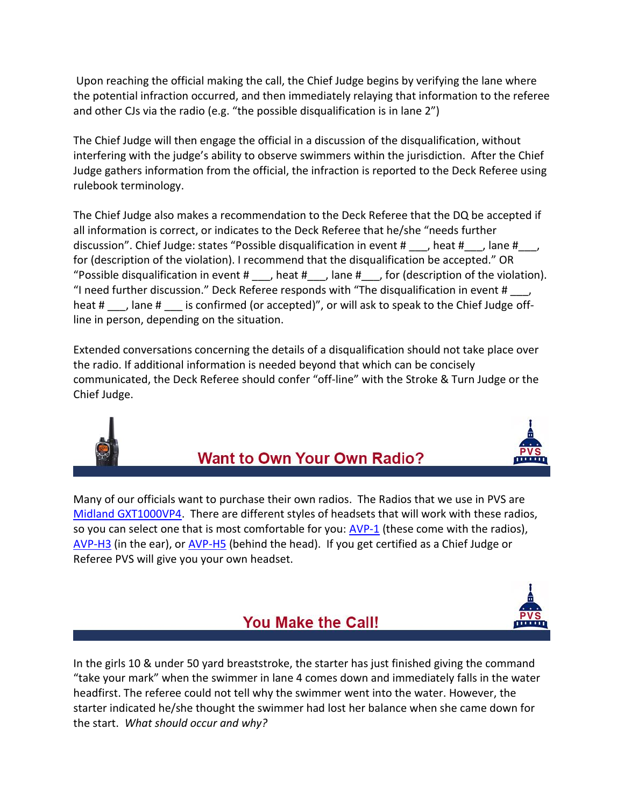Upon reaching the official making the call, the Chief Judge begins by verifying the lane where the potential infraction occurred, and then immediately relaying that information to the referee and other CJs via the radio (e.g. "the possible disqualification is in lane 2")

The Chief Judge will then engage the official in a discussion of the disqualification, without interfering with the judge's ability to observe swimmers within the jurisdiction. After the Chief Judge gathers information from the official, the infraction is reported to the Deck Referee using rulebook terminology.

The Chief Judge also makes a recommendation to the Deck Referee that the DQ be accepted if all information is correct, or indicates to the Deck Referee that he/she "needs further discussion". Chief Judge: states "Possible disqualification in event # \_\_, heat # \_\_, lane # \_\_, for (description of the violation). I recommend that the disqualification be accepted." OR "Possible disqualification in event  $\sharp$ , heat  $\sharp$ , lane  $\sharp$ , for (description of the violation). "I need further discussion." Deck Referee responds with "The disqualification in event  $\sharp$  \_\_\_, heat #, lane # is confirmed (or accepted)", or will ask to speak to the Chief Judge offline in person, depending on the situation.

Extended conversations concerning the details of a disqualification should not take place over the radio. If additional information is needed beyond that which can be concisely communicated, the Deck Referee should confer "off-line" with the Stroke & Turn Judge or the Chief Judge.



## **Want to Own Your Own Radio?**

Many of our officials want to purchase their own radios. The Radios that we use in PVS are [Midland GXT1000VP4.](http://www.amazon.com/Midland-GXT1000VP4-36-Mile-50-Channel-Two-Way/dp/B001WMFYH4/ref=sr_1_1?ie=UTF8&qid=1383912702&sr=8-1&keywords=midland+gxt1000vp4) There are different styles of headsets that will work with these radios, so you can select one that is most comfortable for you:  $AVP-1$  (these come with the radios), [AVP-H3](http://www.amazon.com/Midland-AVPH3-Transparent-Security-Headsets/dp/B000CNAEEW/ref=pd_sim_e_1) (in the ear), or [AVP-H5](http://www.amazon.com/Midland-AVPH5-Behind-the-Head-Headsets-Pair/dp/B000CMGJ0Q/ref=pd_sim_e_5) (behind the head). If you get certified as a Chief Judge or Referee PVS will give you your own headset.



## You Make the Call!

In the girls 10 & under 50 yard breaststroke, the starter has just finished giving the command "take your mark" when the swimmer in lane 4 comes down and immediately falls in the water headfirst. The referee could not tell why the swimmer went into the water. However, the starter indicated he/she thought the swimmer had lost her balance when she came down for the start. *What should occur and why?*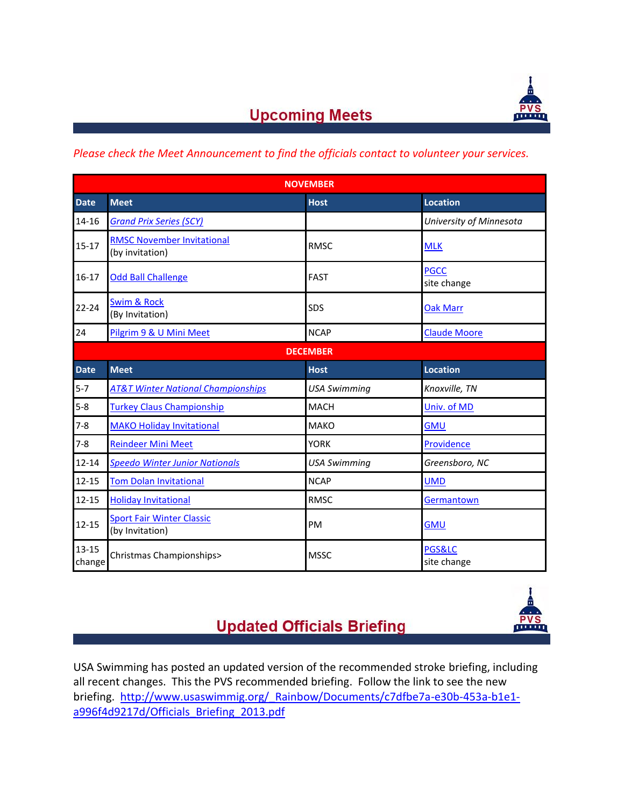

# **Upcoming Meets**

### *Please check the Meet Announcement to find the officials contact to volunteer your services.*

| <b>NOVEMBER</b>     |                                                      |                     |                                  |  |  |  |
|---------------------|------------------------------------------------------|---------------------|----------------------------------|--|--|--|
| <b>Date</b>         | <b>Meet</b>                                          | <b>Host</b>         | <b>Location</b>                  |  |  |  |
| 14-16               | <b>Grand Prix Series (SCY)</b>                       |                     | University of Minnesota          |  |  |  |
| $15 - 17$           | <b>RMSC November Invitational</b><br>(by invitation) | <b>RMSC</b>         | <b>MLK</b>                       |  |  |  |
| $16-17$             | <b>Odd Ball Challenge</b>                            | <b>FAST</b>         | <b>PGCC</b><br>site change       |  |  |  |
| $22 - 24$           | <b>Swim &amp; Rock</b><br>(By Invitation)            | SDS                 | <b>Oak Marr</b>                  |  |  |  |
| 24                  | Pilgrim 9 & U Mini Meet                              | <b>NCAP</b>         | <b>Claude Moore</b>              |  |  |  |
| <b>DECEMBER</b>     |                                                      |                     |                                  |  |  |  |
| <b>Date</b>         | <b>Meet</b>                                          | <b>Host</b>         | Location                         |  |  |  |
| $5 - 7$             | <b>AT&amp;T Winter National Championships</b>        | <b>USA Swimming</b> | Knoxville, TN                    |  |  |  |
| $5 - 8$             | <b>Turkey Claus Championship</b>                     | <b>MACH</b>         | Univ. of MD                      |  |  |  |
| $7 - 8$             | <b>MAKO Holiday Invitational</b>                     | <b>MAKO</b>         | <b>GMU</b>                       |  |  |  |
| $7 - 8$             | <b>Reindeer Mini Meet</b>                            | <b>YORK</b>         | Providence                       |  |  |  |
| $12 - 14$           | <b>Speedo Winter Junior Nationals</b>                | <b>USA Swimming</b> | Greensboro, NC                   |  |  |  |
| $12 - 15$           | <b>Tom Dolan Invitational</b>                        | <b>NCAP</b>         | <b>UMD</b>                       |  |  |  |
| $12 - 15$           | <b>Holiday Invitational</b>                          | <b>RMSC</b>         | Germantown                       |  |  |  |
| $12 - 15$           | <b>Sport Fair Winter Classic</b><br>(by Invitation)  | PM                  | <b>GMU</b>                       |  |  |  |
| $13 - 15$<br>change | Christmas Championships>                             | <b>MSSC</b>         | <b>PGS&amp;LC</b><br>site change |  |  |  |

# **Updated Officials Briefing**



USA Swimming has posted an updated version of the recommended stroke briefing, including all recent changes. This the PVS recommended briefing. Follow the link to see the new briefing. http://www.usaswimmig.org/ Rainbow/Documents/c7dfbe7a-e30b-453a-b1e1[a996f4d9217d/Officials\\_Briefing\\_2013.pdf](http://www.usaswimmig.org/_Rainbow/Documents/c7dfbe7a-e30b-453a-b1e1-a996f4d9217d/Officials_Briefing_2013.pdf)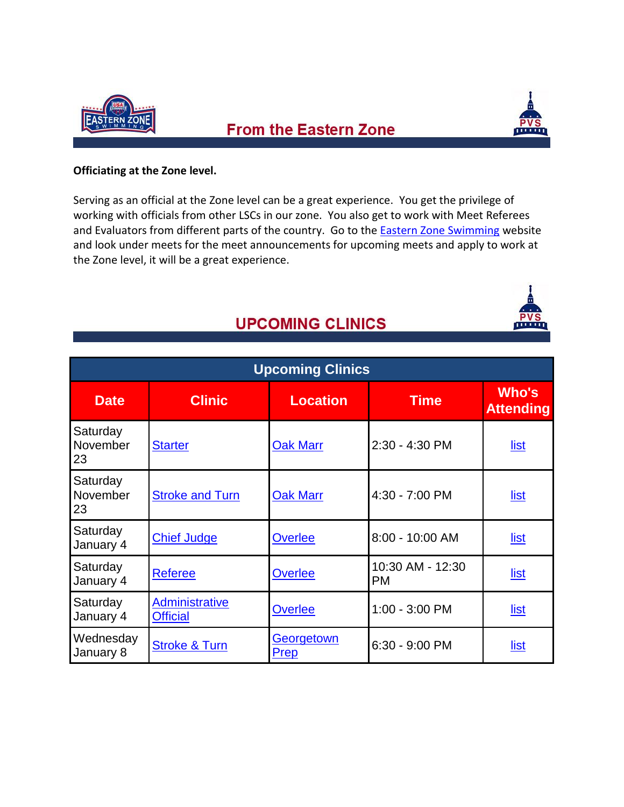

## **From the Eastern Zone**



### **Officiating at the Zone level.**

Serving as an official at the Zone level can be a great experience. You get the privilege of working with officials from other LSCs in our zone. You also get to work with Meet Referees and Evaluators from different parts of the country. Go to the [Eastern Zone Swimming](http://www.easternzoneswimming.org/) website and look under meets for the meet announcements for upcoming meets and apply to work at the Zone level, it will be a great experience.

## **UPCOMING CLINICS**

| <b>Upcoming Clinics</b>    |                                          |                    |                               |                           |  |  |  |
|----------------------------|------------------------------------------|--------------------|-------------------------------|---------------------------|--|--|--|
| <b>Date</b>                | <b>Clinic</b>                            | <b>Location</b>    | <b>Time</b>                   | Who's<br><b>Attending</b> |  |  |  |
| Saturday<br>November<br>23 | <b>Starter</b>                           | <b>Oak Marr</b>    | 2:30 - 4:30 PM                | list                      |  |  |  |
| Saturday<br>November<br>23 | <b>Stroke and Turn</b>                   | <b>Oak Marr</b>    | 4:30 - 7:00 PM                | <u>list</u>               |  |  |  |
| Saturday<br>January 4      | <b>Chief Judge</b>                       | Overlee            | 8:00 - 10:00 AM               | <u>list</u>               |  |  |  |
| Saturday<br>January 4      | <b>Referee</b>                           | <b>Overlee</b>     | 10:30 AM - 12:30<br><b>PM</b> | <u>list</u>               |  |  |  |
| Saturday<br>January 4      | <b>Administrative</b><br><b>Official</b> | Overlee            | $1:00 - 3:00$ PM              | <u>list</u>               |  |  |  |
| Wednesday<br>January 8     | <b>Stroke &amp; Turn</b>                 | Georgetown<br>Prep | $6:30 - 9:00$ PM              | <u>list</u>               |  |  |  |